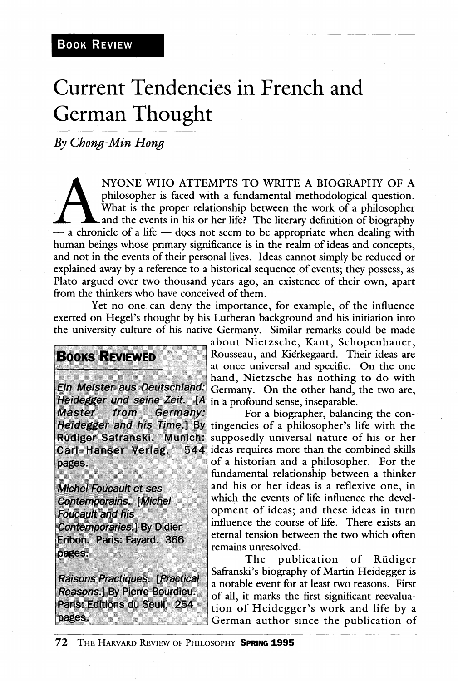## Current Tendencies in French and German Thought

*By Chong-Min Hong* 

NYONE WHO ATTEMPTS TO WRITE A BIOGRAPHY OF A philosopher is faced with a fundamental methodological question.<br>What is the proper relationship between the work of a philosopher<br>and the events in his or her life? The literar NYONE WHO ATTEMPTS TO WRITE A BIOGRAPHY OF A philosopher is faced with a fundamental methodological question. What is the proper relationship between the work of a philosopher and the events in his or her life. The literary definition of biography human beings whose primary significance is in the realm of ideas and concepts, and not in the events of their personal lives. Ideas cannot simply be reduced or explained away by a reference to a historical sequence of events; they possess, as Plato argued over two thousand years ago, an existence of their own, apart from the thinkers who have conceived of them.

Yet no one can deny the importance, for example, of the influence exerted on Hegel's thought by his Lutheran background and his initiation into the university culture of his native Germany. Similar remarks could be made

## **BOOKS REVIEWED**

Ein Meister aus Deutschland: Heidegger und seine Zeit. [A] from **Master** Germany: Heidegger and his Time.] By Rüdiger Safranski. Munich: Carl Hanser Verlag. 544 pages.

**Michel Foucault et ses Contemporains. [Michel Foucault and his Contemporaries.) By Didier** Eribon. Paris: Fayard. 366 pages.

**Raisons Practiques. [Practical** Reasons.] By Pierre Bourdieu. Paris: Editions du Seuil. 254 pages.

about Nietzsche, Kant, Schopenhauer, Rousseau, and Kierkegaard. Their ideas are at once universal and specific. On the one hand, Nietzsche has nothing to do with Germany. On the other hand, the two are, in a profound sense, inseparable.

For a biographer, balancing the contingencies of a philosopher's life with the supposedly universal nature of his or her ideas requires more than the combined skills of a historian and a philosopher. For the fiandamental relationship between a thinker and his or her ideas is a reflexive one, in which the events of life influence the development of ideas; and these ideas in turn influence the course of life. There exists an eternal tension between the two which often remains unresolved.<br>The publ

publication of Rüdiger Safranski's biography of Martin Heidegger is a notable event for at least two reasons. First of all, it marks the first significant reevaluation of Heidegger's work and life by a German author since the publication of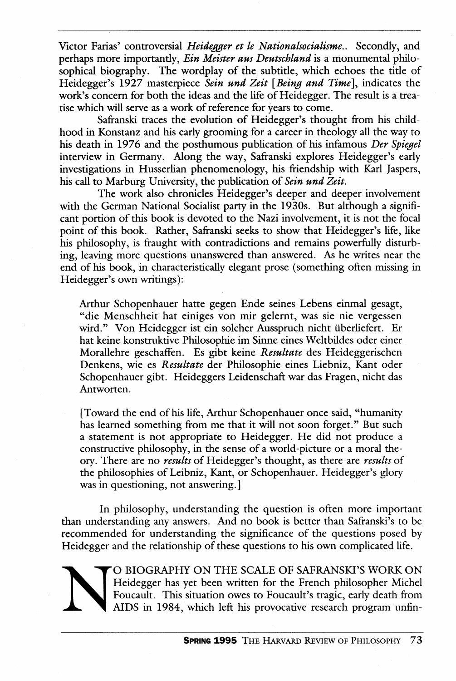Victor Farias' controversial *Heidegger et le Nationalsocialisme..* Secondly, and perhaps more importantly, *Ein Meister aus Deutschland* is a monumental philosophical biography. The wordplay of the subtitle, which echoes the title of Heidegger's 1927 masterpiece *Sein und Zeit {Being and Time].,* indicates the work's concern for both the ideas and the life of Heidegger. The result is a treatise which will serve as a work of reference for years to come.

Safranski traces the evolution of Heidegger's thought from his childhood in Konstanz and his early grooming for a career in theology all the way to his death in 1976 and the posthumous publication of his infamous *Der Spiegel*  interview in Germany. Along the way, Safranski explores Heidegger's early investigations in Husserlian phenomenology, his friendship with Karl Jaspers, his call to Marburg University, the publication of *Sein und Zeit.* 

The work also chronicles Heidegger's deeper and deeper involvement with the German National Socialist party in the 1930s. But although a significant portion of this book is devoted to the Nazi involvement, it is not the focal point of this book. Rather, Safranski seeks to show that Heidegger's life, like his philosophy, is fraught with contradictions and remains powerfully disturbing, leaving more questions unanswered than answered. As he writes near the end of his book, in characteristically elegant prose (something often missing in Heidegger's own writings):

Arthur Schopenhauer hatte gegen Ende seines Lebens einmal gesagt, "die Menschheit hat einiges von mir gelernt, was sie nie vergessen wird." Von Heidegger ist ein solcher Ausspruch nicht überliefert. Er hat keine konstruktive Philosophic im Sinne eines Weltbildes oder einer Morallehre geschaffen. Es gibt keine Resultate des Heideggerischen Denkens, wie es *Resultate* der Philosophic eines Liebniz, Kant oder Schopenhauer gibt. Heideggers Leidenschaft war das Fragen, nicht das Antworten.

[Toward the end of his life, Arthur Schopenhauer once said, "humanity has learned something from me that it will not soon forget." But such a statement is not appropriate to Heidegger. He did not produce a constructive philosophy, in the sense of a world-picture or a moral theory. There are no *results* of Heidegger's thought, as there are *results* of the philosophies of Leibniz, Kant, or Schopenhauer. Heidegger's glory was in questioning, not answering.]

In philosophy, understanding the question is often more important than understanding any answers. And no book is better than Safranski's to be recommended for understanding the significance of the questions posed by Heidegger and the relationship of these questions to his own complicated life.

> O BIOGRAPHY ON THE SCALE OF SAFRANSKI'S WORK ON Heidegger has yet been written for the French philosopher Michel Foucault. This situation owes to Foucault's tragic, early death from AIDS in 1984, which left his provocative research program unfin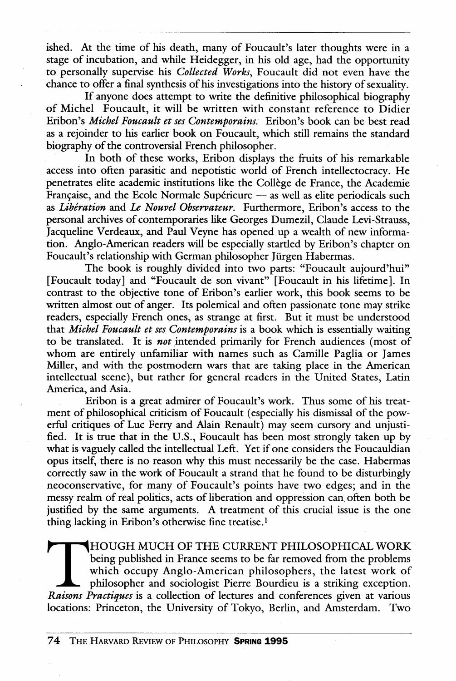ished. At the time of his death, many of Foucault's later thoughts were in a stage of incubation, and while Heidegger, in his old age, had the opportunity to personally supervise his *Collected Works.,* Foucault did not even have the chance to offer a final synthesis of his investigations into the history of sexuality.

If anyone does attempt to write the definitive philosophical biography of Michel Foucault, it will be written with constant reference to Didier Eribon's *Michel Foucault et ses Contemporains.* Eribon's book can be best read as a rejoinder to his earlier book on Foucault, which still remains the standard biography of the controversial French philosopher.

In both of these works, Eribon displays the fruits of his remarkable access into often parasitic and nepotistic world of French intellectocracy. He penetrates elite academic institutions like the College de France, the Academic Française, and the Ecole Normale Supérieure — as well as elite periodicals such as *Liberation* and *Le Nouvel Observateur.* Furthermore, Eribon's access to the personal archives of contemporaries like Georges Dumezil, Claude Levi-Strauss, Jacqueline Verdeaux, and Paul Veyne has opened up a wealth of new information. Anglo-American readers will be especially startled by Eribon's chapter on Foucault's relationship with German philosopher Jürgen Habermas.

The book is roughly divided into two parts: "Foucault aujourd'hui" [Foucault today] and "Foucault de son vivant" [Foucault in his lifetime]. In contrast to the objective tone of Eribon's earlier work, this book seems to be written almost out of anger. Its polemical and often passionate tone may strike readers, especially French ones, as strange at first. But it must be understood that *Michel Foucault et ses Contemporains* is a book which is essentially waiting to be translated. It is *not* intended primarily for French audiences (most of whom are entirely unfamiliar with names such as Camille Paglia or James Miller, and with the postmodern wars that are taking place in the American intellectual scene), but rather for general readers in the United States, Latin America, and Asia.

Eribon is a great admirer of Foucault's work. Thus some of his treatment of philosophical criticism of Foucault (especially his dismissal of the powerful critiques of Luc Ferry and Alain Renault) may seem cursory and unjustified. It is true that in the U.S., Foucault has been most strongly taken up by what is vaguely called the intellectual Left. Yet if one considers the Foucauldian opus itself, there is no reason why this must necessarily be the case. Habermas correcdy saw in the work of Foucault a strand that he found to be disturbingly neoconservative, for many of Foucault's points have two edges; and in the messy realm of real politics, acts of liberation and oppression can often both be justified by the same arguments. A treatment of this crucial issue is the one thing lacking in Eribon's otherwise fine treatise.<sup>1</sup>

HOUGH MUCH OF THE CURRENT PHILOSOPHICAL WORK being published in France seems to be far removed from the problems which occupy Anglo-American philosophers, the latest work of philosopher and sociologist Pierre Bourdieu is a striking exception. *Raisons Practiques* is a collection of lectures and conferences given at various locations: Princeton, the University of Tokyo, Berlin, and Amsterdam. Two